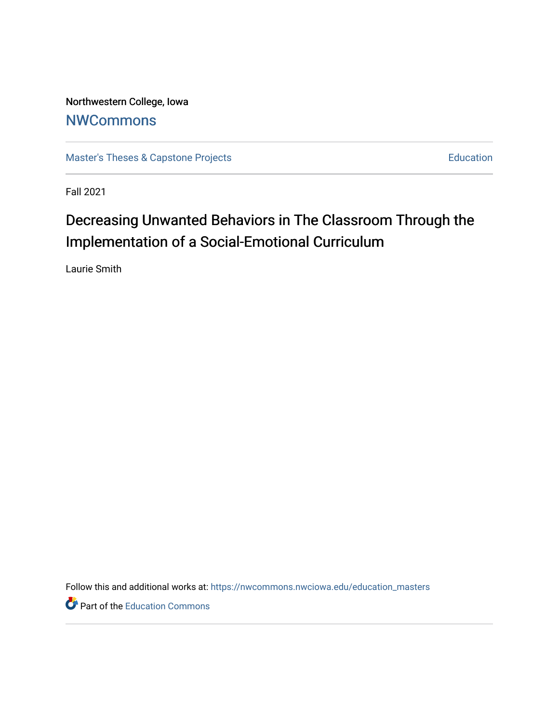Northwestern College, Iowa **[NWCommons](https://nwcommons.nwciowa.edu/)** 

[Master's Theses & Capstone Projects](https://nwcommons.nwciowa.edu/education_masters) **Education** Education

Fall 2021

# Decreasing Unwanted Behaviors in The Classroom Through the Implementation of a Social-Emotional Curriculum

Laurie Smith

Follow this and additional works at: [https://nwcommons.nwciowa.edu/education\\_masters](https://nwcommons.nwciowa.edu/education_masters?utm_source=nwcommons.nwciowa.edu%2Feducation_masters%2F371&utm_medium=PDF&utm_campaign=PDFCoverPages)

Part of the [Education Commons](http://network.bepress.com/hgg/discipline/784?utm_source=nwcommons.nwciowa.edu%2Feducation_masters%2F371&utm_medium=PDF&utm_campaign=PDFCoverPages)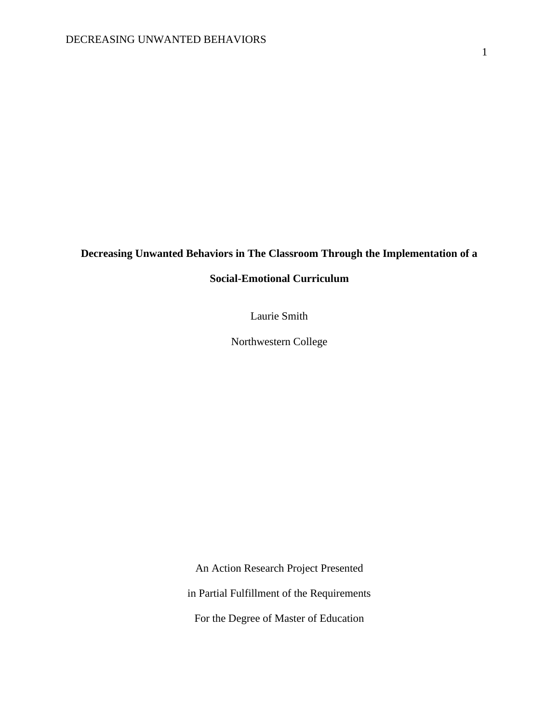# **Decreasing Unwanted Behaviors in The Classroom Through the Implementation of a**

# **Social-Emotional Curriculum**

Laurie Smith

Northwestern College

An Action Research Project Presented

in Partial Fulfillment of the Requirements

For the Degree of Master of Education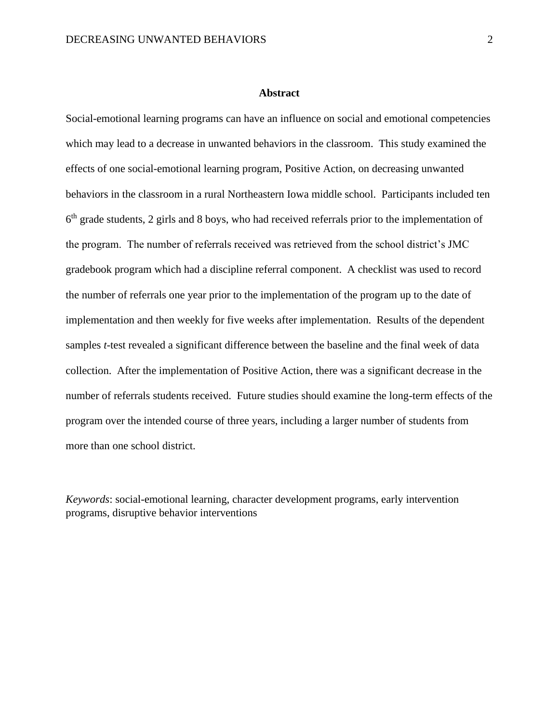#### **Abstract**

<span id="page-2-0"></span>Social-emotional learning programs can have an influence on social and emotional competencies which may lead to a decrease in unwanted behaviors in the classroom. This study examined the effects of one social-emotional learning program, Positive Action, on decreasing unwanted behaviors in the classroom in a rural Northeastern Iowa middle school. Participants included ten 6<sup>th</sup> grade students, 2 girls and 8 boys, who had received referrals prior to the implementation of the program. The number of referrals received was retrieved from the school district's JMC gradebook program which had a discipline referral component. A checklist was used to record the number of referrals one year prior to the implementation of the program up to the date of implementation and then weekly for five weeks after implementation. Results of the dependent samples *t*-test revealed a significant difference between the baseline and the final week of data collection. After the implementation of Positive Action, there was a significant decrease in the number of referrals students received. Future studies should examine the long-term effects of the program over the intended course of three years, including a larger number of students from more than one school district.

*Keywords*: social-emotional learning, character development programs, early intervention programs, disruptive behavior interventions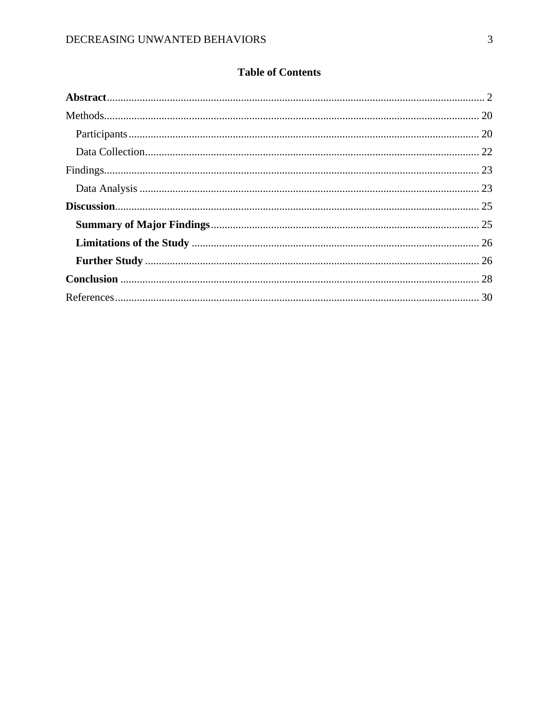# **Table of Contents**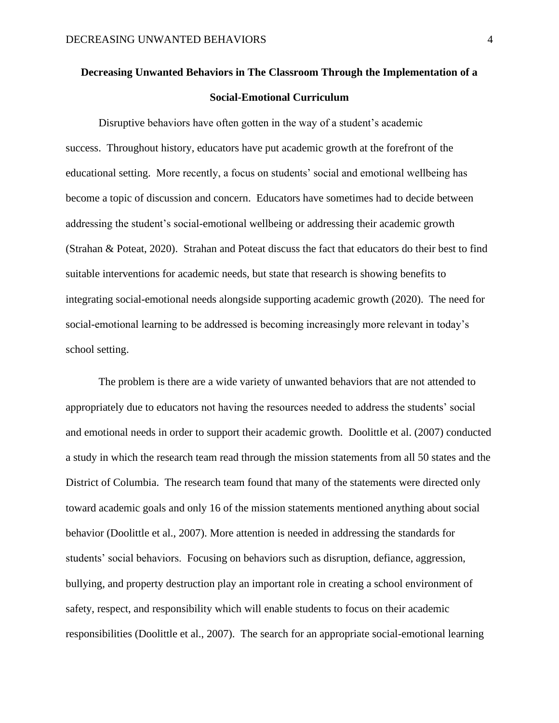# **Decreasing Unwanted Behaviors in The Classroom Through the Implementation of a Social-Emotional Curriculum**

Disruptive behaviors have often gotten in the way of a student's academic success. Throughout history, educators have put academic growth at the forefront of the educational setting. More recently, a focus on students' social and emotional wellbeing has become a topic of discussion and concern. Educators have sometimes had to decide between addressing the student's social-emotional wellbeing or addressing their academic growth (Strahan & Poteat, 2020). Strahan and Poteat discuss the fact that educators do their best to find suitable interventions for academic needs, but state that research is showing benefits to integrating social-emotional needs alongside supporting academic growth (2020). The need for social-emotional learning to be addressed is becoming increasingly more relevant in today's school setting.

The problem is there are a wide variety of unwanted behaviors that are not attended to appropriately due to educators not having the resources needed to address the students' social and emotional needs in order to support their academic growth. Doolittle et al. (2007) conducted a study in which the research team read through the mission statements from all 50 states and the District of Columbia. The research team found that many of the statements were directed only toward academic goals and only 16 of the mission statements mentioned anything about social behavior (Doolittle et al., 2007). More attention is needed in addressing the standards for students' social behaviors. Focusing on behaviors such as disruption, defiance, aggression, bullying, and property destruction play an important role in creating a school environment of safety, respect, and responsibility which will enable students to focus on their academic responsibilities (Doolittle et al., 2007). The search for an appropriate social-emotional learning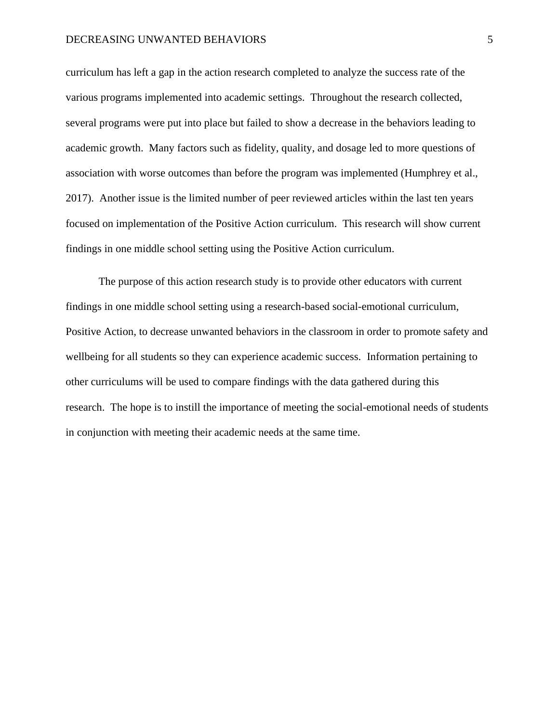#### DECREASING UNWANTED BEHAVIORS 5

curriculum has left a gap in the action research completed to analyze the success rate of the various programs implemented into academic settings. Throughout the research collected, several programs were put into place but failed to show a decrease in the behaviors leading to academic growth. Many factors such as fidelity, quality, and dosage led to more questions of association with worse outcomes than before the program was implemented (Humphrey et al., 2017). Another issue is the limited number of peer reviewed articles within the last ten years focused on implementation of the Positive Action curriculum. This research will show current findings in one middle school setting using the Positive Action curriculum.

The purpose of this action research study is to provide other educators with current findings in one middle school setting using a research-based social-emotional curriculum, Positive Action, to decrease unwanted behaviors in the classroom in order to promote safety and wellbeing for all students so they can experience academic success. Information pertaining to other curriculums will be used to compare findings with the data gathered during this research. The hope is to instill the importance of meeting the social-emotional needs of students in conjunction with meeting their academic needs at the same time.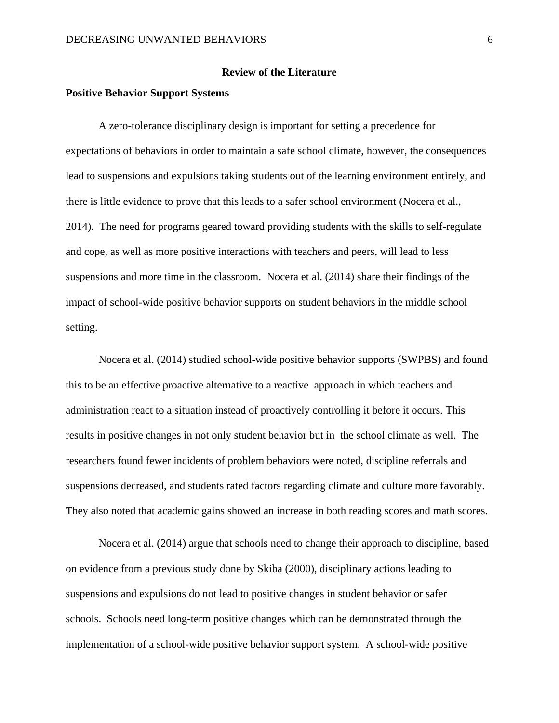### **Review of the Literature**

### **Positive Behavior Support Systems**

A zero-tolerance disciplinary design is important for setting a precedence for expectations of behaviors in order to maintain a safe school climate, however, the consequences lead to suspensions and expulsions taking students out of the learning environment entirely, and there is little evidence to prove that this leads to a safer school environment (Nocera et al., 2014). The need for programs geared toward providing students with the skills to self-regulate and cope, as well as more positive interactions with teachers and peers, will lead to less suspensions and more time in the classroom. Nocera et al. (2014) share their findings of the impact of school-wide positive behavior supports on student behaviors in the middle school setting.

Nocera et al. (2014) studied school-wide positive behavior supports (SWPBS) and found this to be an effective proactive alternative to a reactive approach in which teachers and administration react to a situation instead of proactively controlling it before it occurs. This results in positive changes in not only student behavior but in the school climate as well. The researchers found fewer incidents of problem behaviors were noted, discipline referrals and suspensions decreased, and students rated factors regarding climate and culture more favorably. They also noted that academic gains showed an increase in both reading scores and math scores.

Nocera et al. (2014) argue that schools need to change their approach to discipline, based on evidence from a previous study done by Skiba (2000), disciplinary actions leading to suspensions and expulsions do not lead to positive changes in student behavior or safer schools. Schools need long-term positive changes which can be demonstrated through the implementation of a school-wide positive behavior support system. A school-wide positive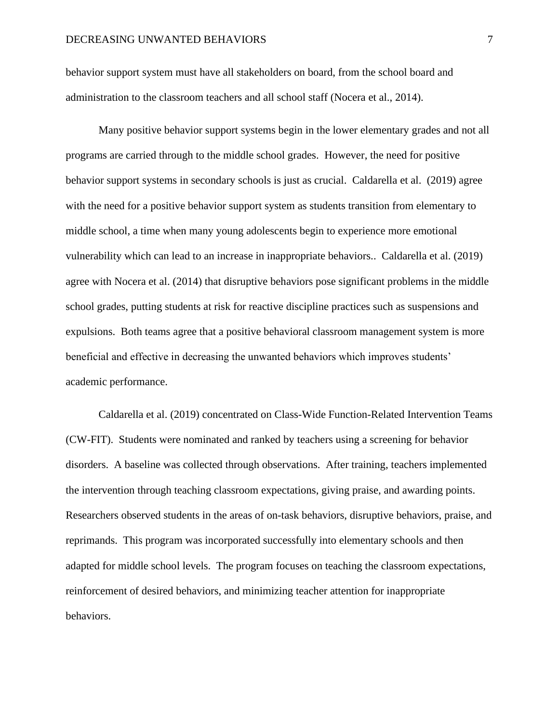behavior support system must have all stakeholders on board, from the school board and administration to the classroom teachers and all school staff (Nocera et al., 2014).

Many positive behavior support systems begin in the lower elementary grades and not all programs are carried through to the middle school grades. However, the need for positive behavior support systems in secondary schools is just as crucial. Caldarella et al. (2019) agree with the need for a positive behavior support system as students transition from elementary to middle school, a time when many young adolescents begin to experience more emotional vulnerability which can lead to an increase in inappropriate behaviors.. Caldarella et al. (2019) agree with Nocera et al. (2014) that disruptive behaviors pose significant problems in the middle school grades, putting students at risk for reactive discipline practices such as suspensions and expulsions. Both teams agree that a positive behavioral classroom management system is more beneficial and effective in decreasing the unwanted behaviors which improves students' academic performance.

Caldarella et al. (2019) concentrated on Class-Wide Function-Related Intervention Teams (CW-FIT). Students were nominated and ranked by teachers using a screening for behavior disorders. A baseline was collected through observations. After training, teachers implemented the intervention through teaching classroom expectations, giving praise, and awarding points. Researchers observed students in the areas of on-task behaviors, disruptive behaviors, praise, and reprimands. This program was incorporated successfully into elementary schools and then adapted for middle school levels. The program focuses on teaching the classroom expectations, reinforcement of desired behaviors, and minimizing teacher attention for inappropriate behaviors.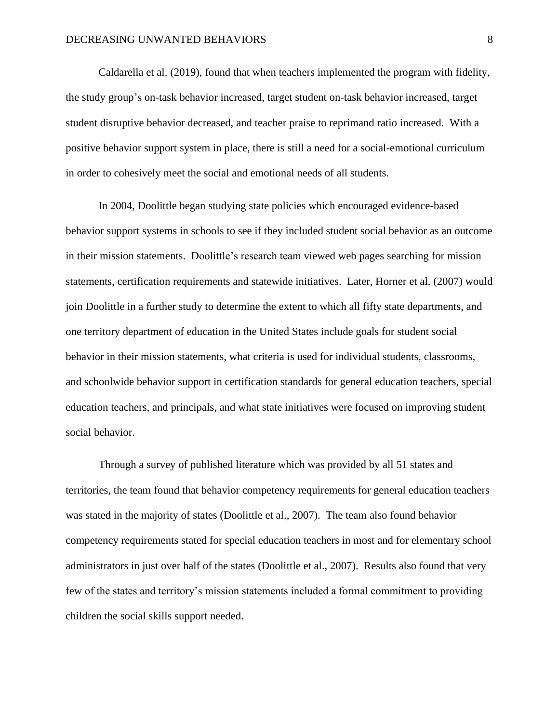Caldarella et al. (2019), found that when teachers implemented the program with fidelity, the study group's on-task behavior increased, target student on-task behavior increased, target student disruptive behavior decreased, and teacher praise to reprimand ratio increased. With a positive behavior support system in place, there is still a need for a social-emotional curriculum in order to cohesively meet the social and emotional needs of all students.

In 2004, Doolittle began studying state policies which encouraged evidence-based behavior support systems in schools to see if they included student social behavior as an outcome in their mission statements. Doolittle's research team viewed web pages searching for mission statements, certification requirements and statewide initiatives. Later, Horner et al. (2007) would join Doolittle in a further study to determine the extent to which all fifty state departments, and one territory department of education in the United States include goals for student social behavior in their mission statements, what criteria is used for individual students, classrooms, and schoolwide behavior support in certification standards for general education teachers, special education teachers, and principals, and what state initiatives were focused on improving student social behavior.

Through a survey of published literature which was provided by all 51 states and territories, the team found that behavior competency requirements for general education teachers was stated in the majority of states (Doolittle et al., 2007). The team also found behavior competency requirements stated for special education teachers in most and for elementary school administrators in just over half of the states (Doolittle et al., 2007). Results also found that very few of the states and territory's mission statements included a formal commitment to providing children the social skills support needed.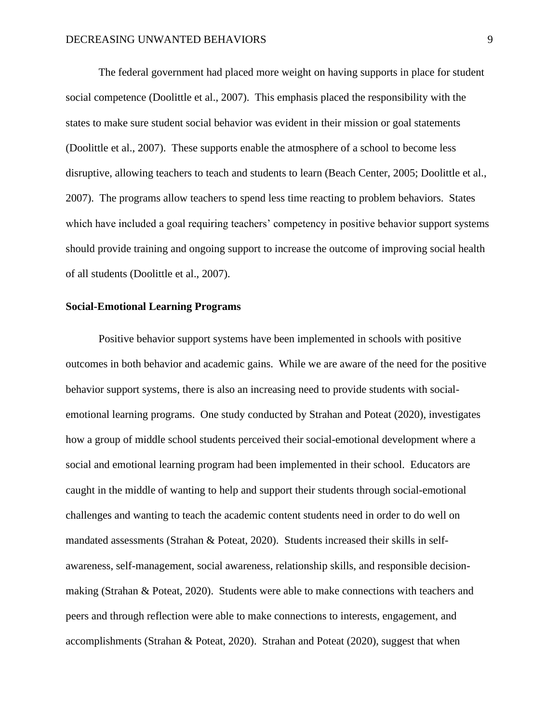The federal government had placed more weight on having supports in place for student social competence (Doolittle et al., 2007). This emphasis placed the responsibility with the states to make sure student social behavior was evident in their mission or goal statements (Doolittle et al., 2007). These supports enable the atmosphere of a school to become less disruptive, allowing teachers to teach and students to learn (Beach Center, 2005; Doolittle et al., 2007). The programs allow teachers to spend less time reacting to problem behaviors. States which have included a goal requiring teachers' competency in positive behavior support systems should provide training and ongoing support to increase the outcome of improving social health of all students (Doolittle et al., 2007).

#### **Social-Emotional Learning Programs**

Positive behavior support systems have been implemented in schools with positive outcomes in both behavior and academic gains. While we are aware of the need for the positive behavior support systems, there is also an increasing need to provide students with socialemotional learning programs. One study conducted by Strahan and Poteat (2020), investigates how a group of middle school students perceived their social-emotional development where a social and emotional learning program had been implemented in their school. Educators are caught in the middle of wanting to help and support their students through social-emotional challenges and wanting to teach the academic content students need in order to do well on mandated assessments (Strahan & Poteat, 2020). Students increased their skills in selfawareness, self-management, social awareness, relationship skills, and responsible decisionmaking (Strahan & Poteat, 2020). Students were able to make connections with teachers and peers and through reflection were able to make connections to interests, engagement, and accomplishments (Strahan & Poteat, 2020). Strahan and Poteat (2020), suggest that when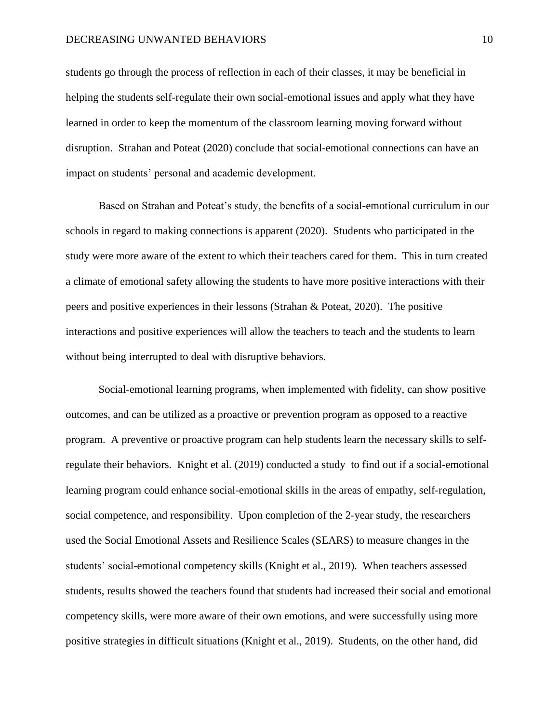### DECREASING UNWANTED BEHAVIORS 10

students go through the process of reflection in each of their classes, it may be beneficial in helping the students self-regulate their own social-emotional issues and apply what they have learned in order to keep the momentum of the classroom learning moving forward without disruption. Strahan and Poteat (2020) conclude that social-emotional connections can have an impact on students' personal and academic development.

Based on Strahan and Poteat's study, the benefits of a social-emotional curriculum in our schools in regard to making connections is apparent (2020). Students who participated in the study were more aware of the extent to which their teachers cared for them. This in turn created a climate of emotional safety allowing the students to have more positive interactions with their peers and positive experiences in their lessons (Strahan & Poteat, 2020). The positive interactions and positive experiences will allow the teachers to teach and the students to learn without being interrupted to deal with disruptive behaviors.

Social-emotional learning programs, when implemented with fidelity, can show positive outcomes, and can be utilized as a proactive or prevention program as opposed to a reactive program. A preventive or proactive program can help students learn the necessary skills to selfregulate their behaviors. Knight et al. (2019) conducted a study to find out if a social-emotional learning program could enhance social-emotional skills in the areas of empathy, self-regulation, social competence, and responsibility. Upon completion of the 2-year study, the researchers used the Social Emotional Assets and Resilience Scales (SEARS) to measure changes in the students' social-emotional competency skills (Knight et al., 2019). When teachers assessed students, results showed the teachers found that students had increased their social and emotional competency skills, were more aware of their own emotions, and were successfully using more positive strategies in difficult situations (Knight et al., 2019). Students, on the other hand, did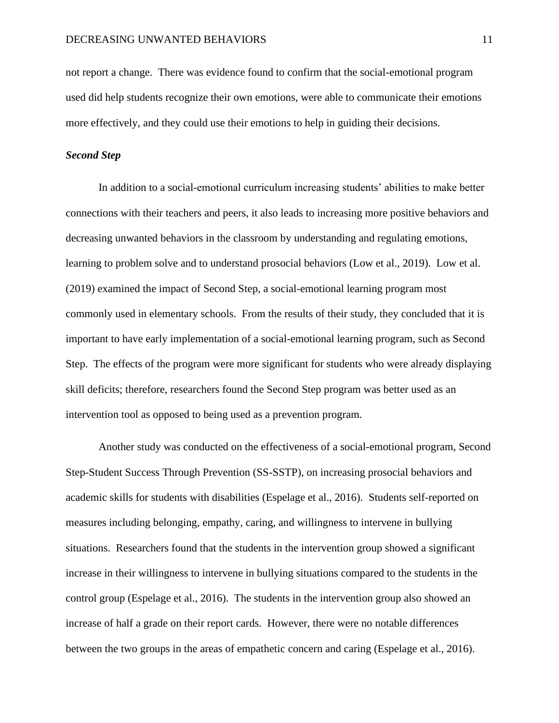not report a change. There was evidence found to confirm that the social-emotional program used did help students recognize their own emotions, were able to communicate their emotions more effectively, and they could use their emotions to help in guiding their decisions.

# *Second Step*

In addition to a social-emotional curriculum increasing students' abilities to make better connections with their teachers and peers, it also leads to increasing more positive behaviors and decreasing unwanted behaviors in the classroom by understanding and regulating emotions, learning to problem solve and to understand prosocial behaviors (Low et al., 2019). Low et al. (2019) examined the impact of Second Step, a social-emotional learning program most commonly used in elementary schools. From the results of their study, they concluded that it is important to have early implementation of a social-emotional learning program, such as Second Step. The effects of the program were more significant for students who were already displaying skill deficits; therefore, researchers found the Second Step program was better used as an intervention tool as opposed to being used as a prevention program.

Another study was conducted on the effectiveness of a social-emotional program, Second Step-Student Success Through Prevention (SS-SSTP), on increasing prosocial behaviors and academic skills for students with disabilities (Espelage et al., 2016). Students self-reported on measures including belonging, empathy, caring, and willingness to intervene in bullying situations. Researchers found that the students in the intervention group showed a significant increase in their willingness to intervene in bullying situations compared to the students in the control group (Espelage et al., 2016). The students in the intervention group also showed an increase of half a grade on their report cards. However, there were no notable differences between the two groups in the areas of empathetic concern and caring (Espelage et al., 2016).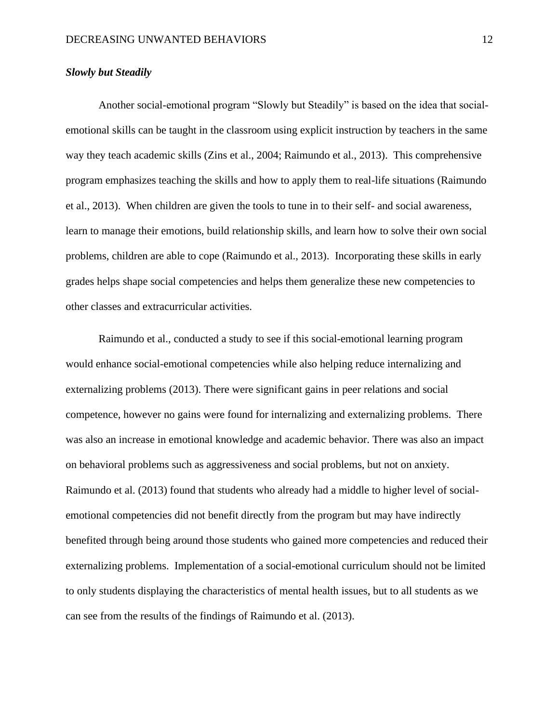# *Slowly but Steadily*

Another social-emotional program "Slowly but Steadily" is based on the idea that socialemotional skills can be taught in the classroom using explicit instruction by teachers in the same way they teach academic skills (Zins et al., 2004; Raimundo et al., 2013). This comprehensive program emphasizes teaching the skills and how to apply them to real-life situations (Raimundo et al., 2013). When children are given the tools to tune in to their self- and social awareness, learn to manage their emotions, build relationship skills, and learn how to solve their own social problems, children are able to cope (Raimundo et al., 2013). Incorporating these skills in early grades helps shape social competencies and helps them generalize these new competencies to other classes and extracurricular activities.

Raimundo et al., conducted a study to see if this social-emotional learning program would enhance social-emotional competencies while also helping reduce internalizing and externalizing problems (2013). There were significant gains in peer relations and social competence, however no gains were found for internalizing and externalizing problems. There was also an increase in emotional knowledge and academic behavior. There was also an impact on behavioral problems such as aggressiveness and social problems, but not on anxiety. Raimundo et al. (2013) found that students who already had a middle to higher level of socialemotional competencies did not benefit directly from the program but may have indirectly benefited through being around those students who gained more competencies and reduced their externalizing problems. Implementation of a social-emotional curriculum should not be limited to only students displaying the characteristics of mental health issues, but to all students as we can see from the results of the findings of Raimundo et al. (2013).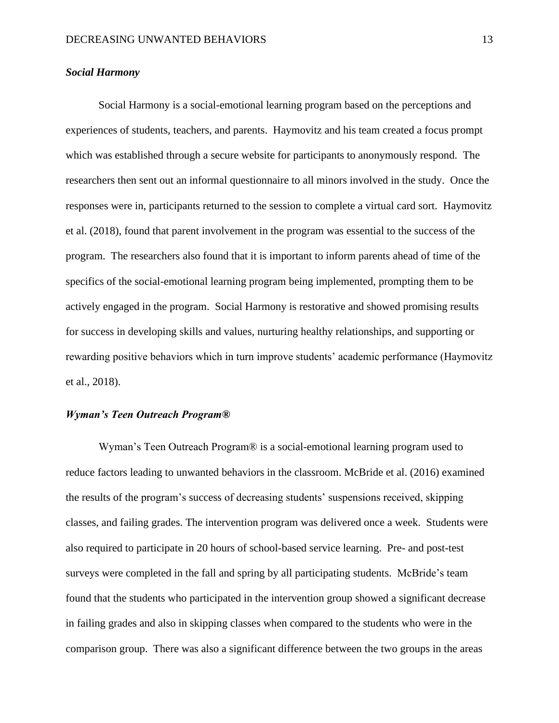# *Social Harmony*

Social Harmony is a social-emotional learning program based on the perceptions and experiences of students, teachers, and parents. Haymovitz and his team created a focus prompt which was established through a secure website for participants to anonymously respond. The researchers then sent out an informal questionnaire to all minors involved in the study. Once the responses were in, participants returned to the session to complete a virtual card sort. Haymovitz et al. (2018), found that parent involvement in the program was essential to the success of the program. The researchers also found that it is important to inform parents ahead of time of the specifics of the social-emotional learning program being implemented, prompting them to be actively engaged in the program. Social Harmony is restorative and showed promising results for success in developing skills and values, nurturing healthy relationships, and supporting or rewarding positive behaviors which in turn improve students' academic performance (Haymovitz et al., 2018).

# *Wyman's Teen Outreach Program®*

Wyman's Teen Outreach Program® is a social-emotional learning program used to reduce factors leading to unwanted behaviors in the classroom. McBride et al. (2016) examined the results of the program's success of decreasing students' suspensions received, skipping classes, and failing grades. The intervention program was delivered once a week. Students were also required to participate in 20 hours of school-based service learning. Pre- and post-test surveys were completed in the fall and spring by all participating students. McBride's team found that the students who participated in the intervention group showed a significant decrease in failing grades and also in skipping classes when compared to the students who were in the comparison group. There was also a significant difference between the two groups in the areas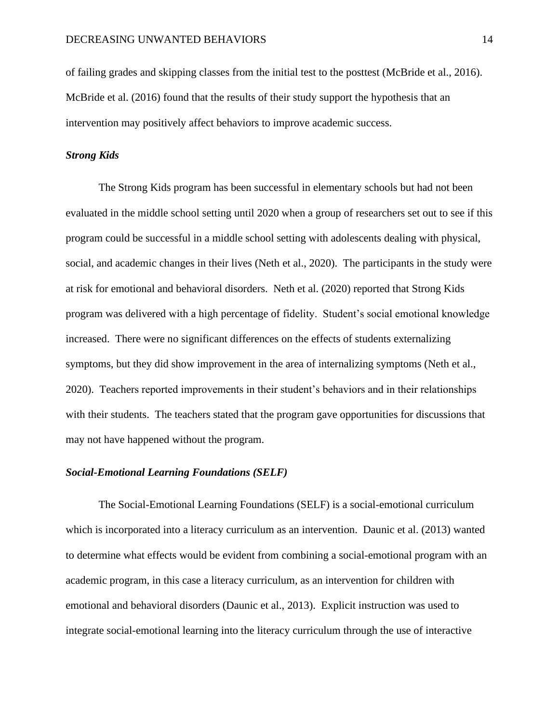of failing grades and skipping classes from the initial test to the posttest (McBride et al., 2016). McBride et al. (2016) found that the results of their study support the hypothesis that an intervention may positively affect behaviors to improve academic success.

# *Strong Kids*

The Strong Kids program has been successful in elementary schools but had not been evaluated in the middle school setting until 2020 when a group of researchers set out to see if this program could be successful in a middle school setting with adolescents dealing with physical, social, and academic changes in their lives (Neth et al., 2020). The participants in the study were at risk for emotional and behavioral disorders. Neth et al. (2020) reported that Strong Kids program was delivered with a high percentage of fidelity. Student's social emotional knowledge increased. There were no significant differences on the effects of students externalizing symptoms, but they did show improvement in the area of internalizing symptoms (Neth et al., 2020). Teachers reported improvements in their student's behaviors and in their relationships with their students. The teachers stated that the program gave opportunities for discussions that may not have happened without the program.

# *Social-Emotional Learning Foundations (SELF)*

The Social-Emotional Learning Foundations (SELF) is a social-emotional curriculum which is incorporated into a literacy curriculum as an intervention. Daunic et al. (2013) wanted to determine what effects would be evident from combining a social-emotional program with an academic program, in this case a literacy curriculum, as an intervention for children with emotional and behavioral disorders (Daunic et al., 2013). Explicit instruction was used to integrate social-emotional learning into the literacy curriculum through the use of interactive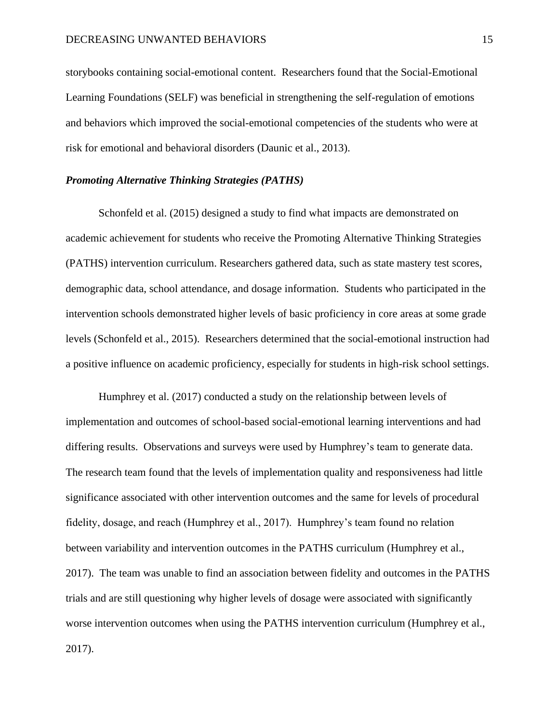storybooks containing social-emotional content. Researchers found that the Social-Emotional Learning Foundations (SELF) was beneficial in strengthening the self-regulation of emotions and behaviors which improved the social-emotional competencies of the students who were at risk for emotional and behavioral disorders (Daunic et al., 2013).

# *Promoting Alternative Thinking Strategies (PATHS)*

Schonfeld et al. (2015) designed a study to find what impacts are demonstrated on academic achievement for students who receive the Promoting Alternative Thinking Strategies (PATHS) intervention curriculum. Researchers gathered data, such as state mastery test scores, demographic data, school attendance, and dosage information. Students who participated in the intervention schools demonstrated higher levels of basic proficiency in core areas at some grade levels (Schonfeld et al., 2015). Researchers determined that the social-emotional instruction had a positive influence on academic proficiency, especially for students in high-risk school settings.

Humphrey et al. (2017) conducted a study on the relationship between levels of implementation and outcomes of school-based social-emotional learning interventions and had differing results. Observations and surveys were used by Humphrey's team to generate data. The research team found that the levels of implementation quality and responsiveness had little significance associated with other intervention outcomes and the same for levels of procedural fidelity, dosage, and reach (Humphrey et al., 2017). Humphrey's team found no relation between variability and intervention outcomes in the PATHS curriculum (Humphrey et al., 2017). The team was unable to find an association between fidelity and outcomes in the PATHS trials and are still questioning why higher levels of dosage were associated with significantly worse intervention outcomes when using the PATHS intervention curriculum (Humphrey et al., 2017).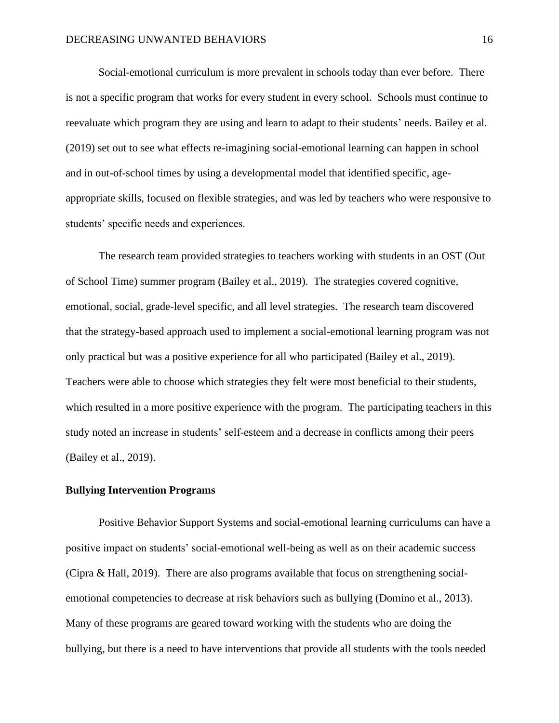Social-emotional curriculum is more prevalent in schools today than ever before. There is not a specific program that works for every student in every school. Schools must continue to reevaluate which program they are using and learn to adapt to their students' needs. Bailey et al. (2019) set out to see what effects re-imagining social-emotional learning can happen in school and in out-of-school times by using a developmental model that identified specific, ageappropriate skills, focused on flexible strategies, and was led by teachers who were responsive to students' specific needs and experiences.

The research team provided strategies to teachers working with students in an OST (Out of School Time) summer program (Bailey et al., 2019). The strategies covered cognitive, emotional, social, grade-level specific, and all level strategies. The research team discovered that the strategy-based approach used to implement a social-emotional learning program was not only practical but was a positive experience for all who participated (Bailey et al., 2019). Teachers were able to choose which strategies they felt were most beneficial to their students, which resulted in a more positive experience with the program. The participating teachers in this study noted an increase in students' self-esteem and a decrease in conflicts among their peers (Bailey et al., 2019).

### **Bullying Intervention Programs**

Positive Behavior Support Systems and social-emotional learning curriculums can have a positive impact on students' social-emotional well-being as well as on their academic success (Cipra & Hall, 2019). There are also programs available that focus on strengthening socialemotional competencies to decrease at risk behaviors such as bullying (Domino et al., 2013). Many of these programs are geared toward working with the students who are doing the bullying, but there is a need to have interventions that provide all students with the tools needed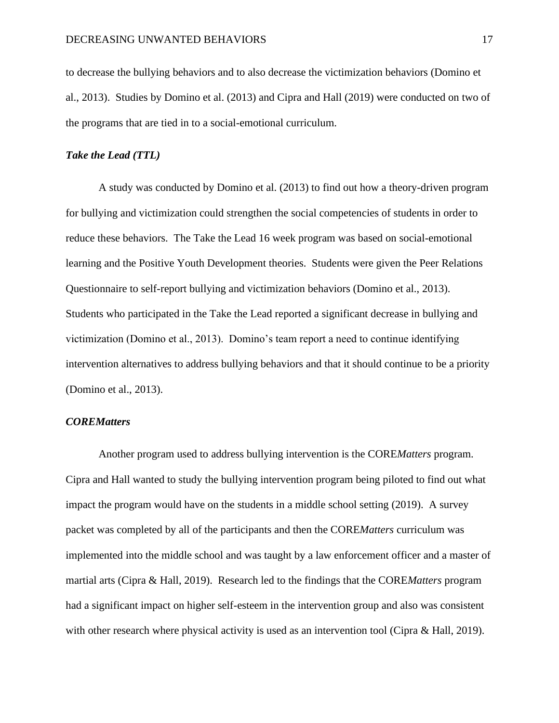to decrease the bullying behaviors and to also decrease the victimization behaviors (Domino et al., 2013). Studies by Domino et al. (2013) and Cipra and Hall (2019) were conducted on two of the programs that are tied in to a social-emotional curriculum.

# *Take the Lead (TTL)*

A study was conducted by Domino et al. (2013) to find out how a theory-driven program for bullying and victimization could strengthen the social competencies of students in order to reduce these behaviors. The Take the Lead 16 week program was based on social-emotional learning and the Positive Youth Development theories. Students were given the Peer Relations Questionnaire to self-report bullying and victimization behaviors (Domino et al., 2013). Students who participated in the Take the Lead reported a significant decrease in bullying and victimization (Domino et al., 2013). Domino's team report a need to continue identifying intervention alternatives to address bullying behaviors and that it should continue to be a priority (Domino et al., 2013).

# *COREMatters*

Another program used to address bullying intervention is the CORE*Matters* program. Cipra and Hall wanted to study the bullying intervention program being piloted to find out what impact the program would have on the students in a middle school setting (2019). A survey packet was completed by all of the participants and then the CORE*Matters* curriculum was implemented into the middle school and was taught by a law enforcement officer and a master of martial arts (Cipra & Hall, 2019). Research led to the findings that the CORE*Matters* program had a significant impact on higher self-esteem in the intervention group and also was consistent with other research where physical activity is used as an intervention tool (Cipra & Hall, 2019).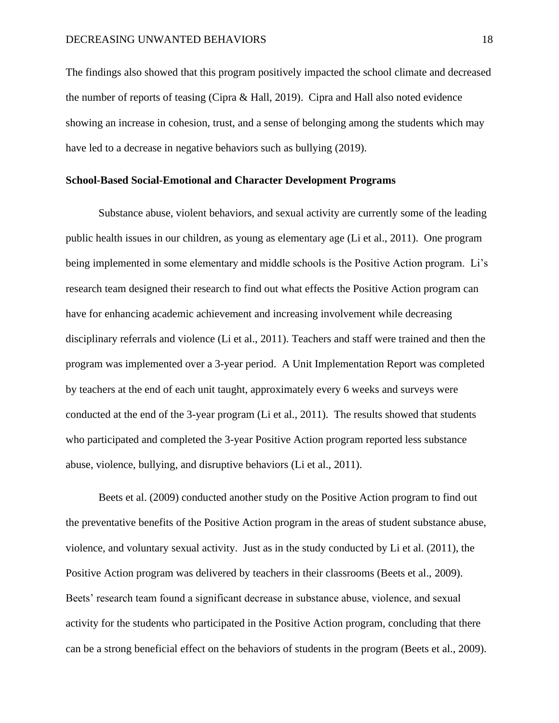The findings also showed that this program positively impacted the school climate and decreased the number of reports of teasing (Cipra & Hall, 2019). Cipra and Hall also noted evidence showing an increase in cohesion, trust, and a sense of belonging among the students which may have led to a decrease in negative behaviors such as bullying (2019).

## **School-Based Social-Emotional and Character Development Programs**

Substance abuse, violent behaviors, and sexual activity are currently some of the leading public health issues in our children, as young as elementary age (Li et al., 2011). One program being implemented in some elementary and middle schools is the Positive Action program. Li's research team designed their research to find out what effects the Positive Action program can have for enhancing academic achievement and increasing involvement while decreasing disciplinary referrals and violence (Li et al., 2011). Teachers and staff were trained and then the program was implemented over a 3-year period. A Unit Implementation Report was completed by teachers at the end of each unit taught, approximately every 6 weeks and surveys were conducted at the end of the 3-year program (Li et al., 2011). The results showed that students who participated and completed the 3-year Positive Action program reported less substance abuse, violence, bullying, and disruptive behaviors (Li et al., 2011).

Beets et al. (2009) conducted another study on the Positive Action program to find out the preventative benefits of the Positive Action program in the areas of student substance abuse, violence, and voluntary sexual activity. Just as in the study conducted by Li et al. (2011), the Positive Action program was delivered by teachers in their classrooms (Beets et al., 2009). Beets' research team found a significant decrease in substance abuse, violence, and sexual activity for the students who participated in the Positive Action program, concluding that there can be a strong beneficial effect on the behaviors of students in the program (Beets et al., 2009).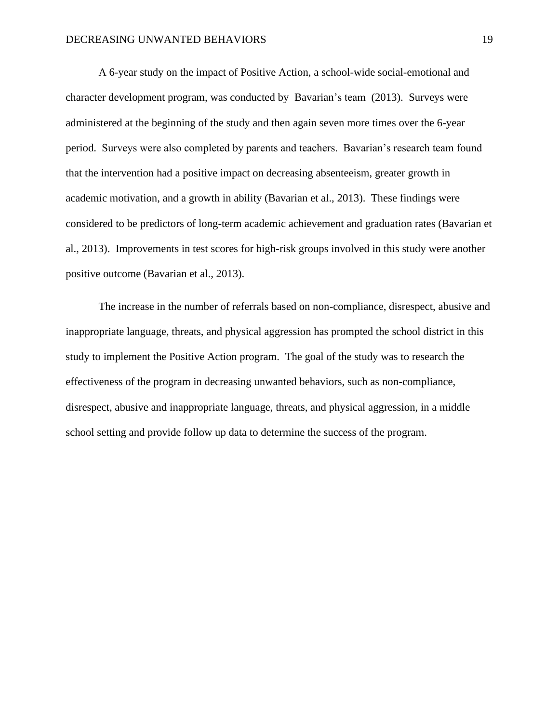A 6-year study on the impact of Positive Action, a school-wide social-emotional and character development program, was conducted by Bavarian's team (2013). Surveys were administered at the beginning of the study and then again seven more times over the 6-year period. Surveys were also completed by parents and teachers. Bavarian's research team found that the intervention had a positive impact on decreasing absenteeism, greater growth in academic motivation, and a growth in ability (Bavarian et al., 2013). These findings were considered to be predictors of long-term academic achievement and graduation rates (Bavarian et al., 2013). Improvements in test scores for high-risk groups involved in this study were another positive outcome (Bavarian et al., 2013).

The increase in the number of referrals based on non-compliance, disrespect, abusive and inappropriate language, threats, and physical aggression has prompted the school district in this study to implement the Positive Action program. The goal of the study was to research the effectiveness of the program in decreasing unwanted behaviors, such as non-compliance, disrespect, abusive and inappropriate language, threats, and physical aggression, in a middle school setting and provide follow up data to determine the success of the program.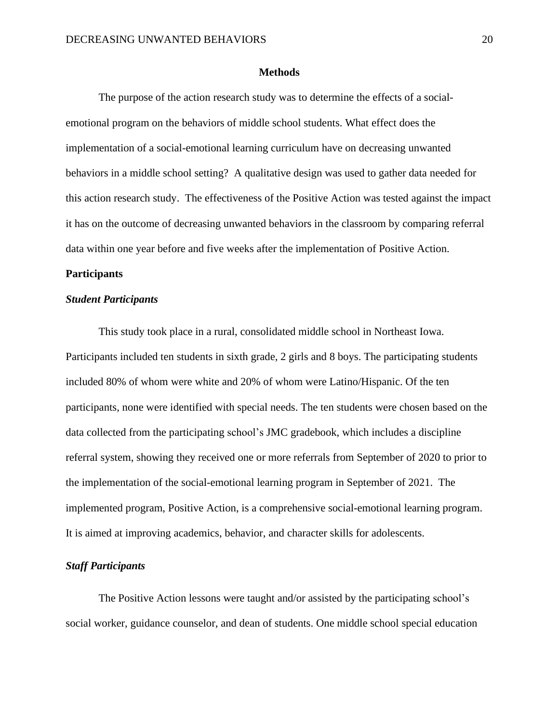### **Methods**

<span id="page-20-0"></span>The purpose of the action research study was to determine the effects of a socialemotional program on the behaviors of middle school students. What effect does the implementation of a social-emotional learning curriculum have on decreasing unwanted behaviors in a middle school setting? A qualitative design was used to gather data needed for this action research study. The effectiveness of the Positive Action was tested against the impact it has on the outcome of decreasing unwanted behaviors in the classroom by comparing referral data within one year before and five weeks after the implementation of Positive Action.

# <span id="page-20-1"></span>**Participants**

# *Student Participants*

This study took place in a rural, consolidated middle school in Northeast Iowa. Participants included ten students in sixth grade, 2 girls and 8 boys. The participating students included 80% of whom were white and 20% of whom were Latino/Hispanic. Of the ten participants, none were identified with special needs. The ten students were chosen based on the data collected from the participating school's JMC gradebook, which includes a discipline referral system, showing they received one or more referrals from September of 2020 to prior to the implementation of the social-emotional learning program in September of 2021. The implemented program, Positive Action, is a comprehensive social-emotional learning program. It is aimed at improving academics, behavior, and character skills for adolescents.

# *Staff Participants*

The Positive Action lessons were taught and/or assisted by the participating school's social worker, guidance counselor, and dean of students. One middle school special education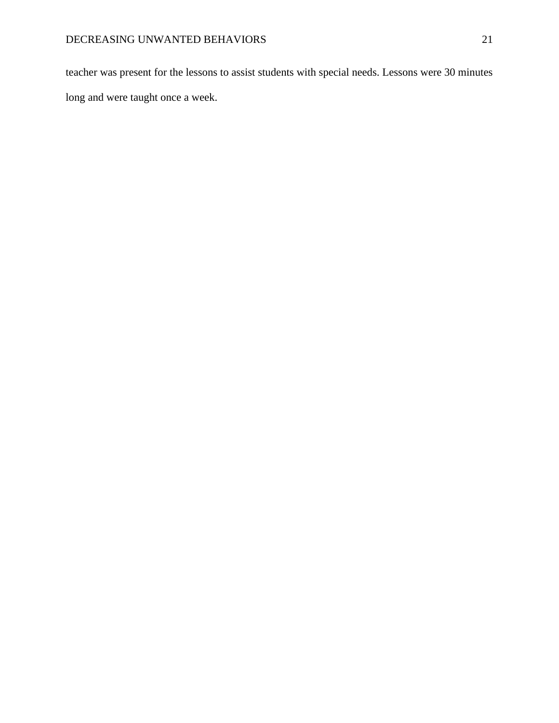teacher was present for the lessons to assist students with special needs. Lessons were 30 minutes long and were taught once a week.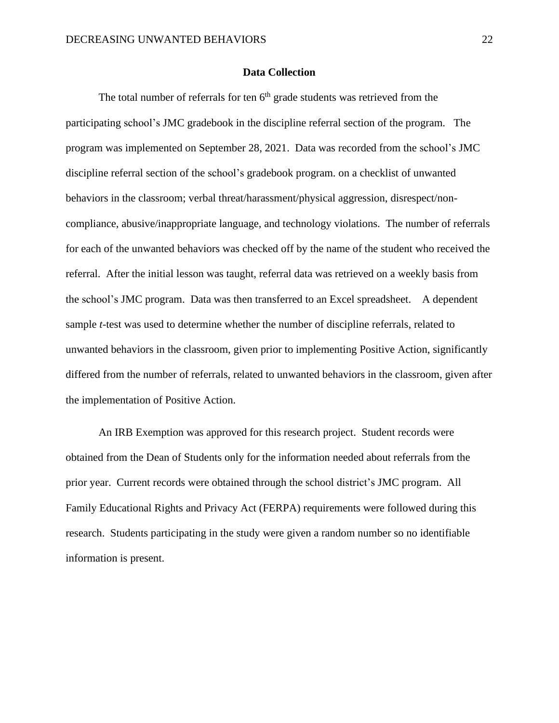# **Data Collection**

<span id="page-22-0"></span>The total number of referrals for ten  $6<sup>th</sup>$  grade students was retrieved from the participating school's JMC gradebook in the discipline referral section of the program. The program was implemented on September 28, 2021. Data was recorded from the school's JMC discipline referral section of the school's gradebook program. on a checklist of unwanted behaviors in the classroom; verbal threat/harassment/physical aggression, disrespect/noncompliance, abusive/inappropriate language, and technology violations. The number of referrals for each of the unwanted behaviors was checked off by the name of the student who received the referral. After the initial lesson was taught, referral data was retrieved on a weekly basis from the school's JMC program. Data was then transferred to an Excel spreadsheet. A dependent sample *t*-test was used to determine whether the number of discipline referrals, related to unwanted behaviors in the classroom, given prior to implementing Positive Action, significantly differed from the number of referrals, related to unwanted behaviors in the classroom, given after the implementation of Positive Action.

An IRB Exemption was approved for this research project. Student records were obtained from the Dean of Students only for the information needed about referrals from the prior year. Current records were obtained through the school district's JMC program. All Family Educational Rights and Privacy Act (FERPA) requirements were followed during this research. Students participating in the study were given a random number so no identifiable information is present.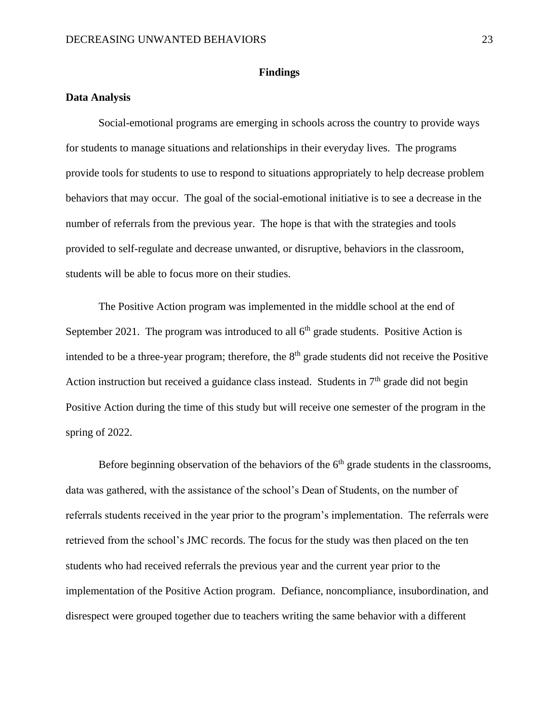## **Findings**

# <span id="page-23-1"></span><span id="page-23-0"></span>**Data Analysis**

Social-emotional programs are emerging in schools across the country to provide ways for students to manage situations and relationships in their everyday lives. The programs provide tools for students to use to respond to situations appropriately to help decrease problem behaviors that may occur. The goal of the social-emotional initiative is to see a decrease in the number of referrals from the previous year. The hope is that with the strategies and tools provided to self-regulate and decrease unwanted, or disruptive, behaviors in the classroom, students will be able to focus more on their studies.

The Positive Action program was implemented in the middle school at the end of September 2021. The program was introduced to all  $6<sup>th</sup>$  grade students. Positive Action is intended to be a three-year program; therefore, the  $8<sup>th</sup>$  grade students did not receive the Positive Action instruction but received a guidance class instead. Students in  $7<sup>th</sup>$  grade did not begin Positive Action during the time of this study but will receive one semester of the program in the spring of 2022.

Before beginning observation of the behaviors of the  $6<sup>th</sup>$  grade students in the classrooms, data was gathered, with the assistance of the school's Dean of Students, on the number of referrals students received in the year prior to the program's implementation. The referrals were retrieved from the school's JMC records. The focus for the study was then placed on the ten students who had received referrals the previous year and the current year prior to the implementation of the Positive Action program. Defiance, noncompliance, insubordination, and disrespect were grouped together due to teachers writing the same behavior with a different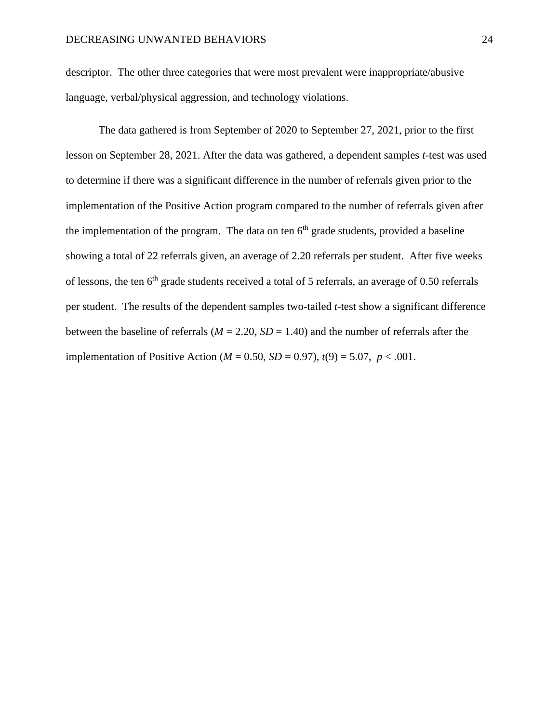descriptor. The other three categories that were most prevalent were inappropriate/abusive language, verbal/physical aggression, and technology violations.

The data gathered is from September of 2020 to September 27, 2021, prior to the first lesson on September 28, 2021. After the data was gathered, a dependent samples *t*-test was used to determine if there was a significant difference in the number of referrals given prior to the implementation of the Positive Action program compared to the number of referrals given after the implementation of the program. The data on ten  $6<sup>th</sup>$  grade students, provided a baseline showing a total of 22 referrals given, an average of 2.20 referrals per student. After five weeks of lessons, the ten 6<sup>th</sup> grade students received a total of 5 referrals, an average of 0.50 referrals per student. The results of the dependent samples two-tailed *t*-test show a significant difference between the baseline of referrals ( $M = 2.20$ ,  $SD = 1.40$ ) and the number of referrals after the implementation of Positive Action ( $M = 0.50$ ,  $SD = 0.97$ ),  $t(9) = 5.07$ ,  $p < .001$ .

<span id="page-24-0"></span>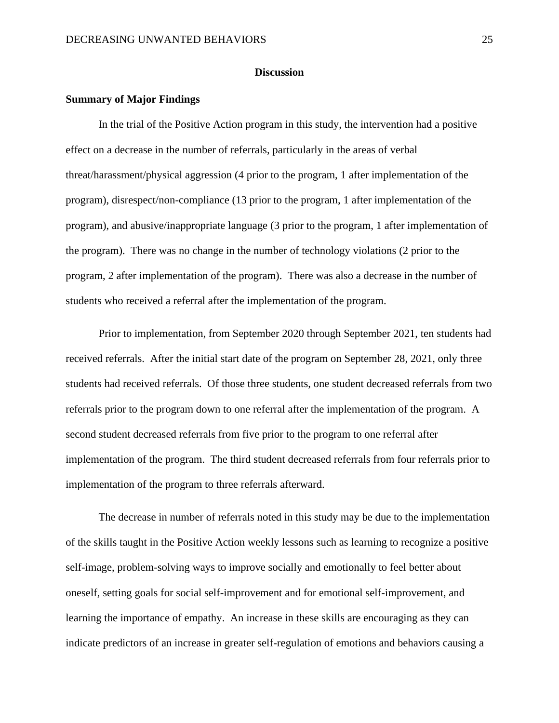### **Discussion**

#### <span id="page-25-0"></span>**Summary of Major Findings**

In the trial of the Positive Action program in this study, the intervention had a positive effect on a decrease in the number of referrals, particularly in the areas of verbal threat/harassment/physical aggression (4 prior to the program, 1 after implementation of the program), disrespect/non-compliance (13 prior to the program, 1 after implementation of the program), and abusive/inappropriate language (3 prior to the program, 1 after implementation of the program). There was no change in the number of technology violations (2 prior to the program, 2 after implementation of the program). There was also a decrease in the number of students who received a referral after the implementation of the program.

Prior to implementation, from September 2020 through September 2021, ten students had received referrals. After the initial start date of the program on September 28, 2021, only three students had received referrals. Of those three students, one student decreased referrals from two referrals prior to the program down to one referral after the implementation of the program. A second student decreased referrals from five prior to the program to one referral after implementation of the program. The third student decreased referrals from four referrals prior to implementation of the program to three referrals afterward.

The decrease in number of referrals noted in this study may be due to the implementation of the skills taught in the Positive Action weekly lessons such as learning to recognize a positive self-image, problem-solving ways to improve socially and emotionally to feel better about oneself, setting goals for social self-improvement and for emotional self-improvement, and learning the importance of empathy. An increase in these skills are encouraging as they can indicate predictors of an increase in greater self-regulation of emotions and behaviors causing a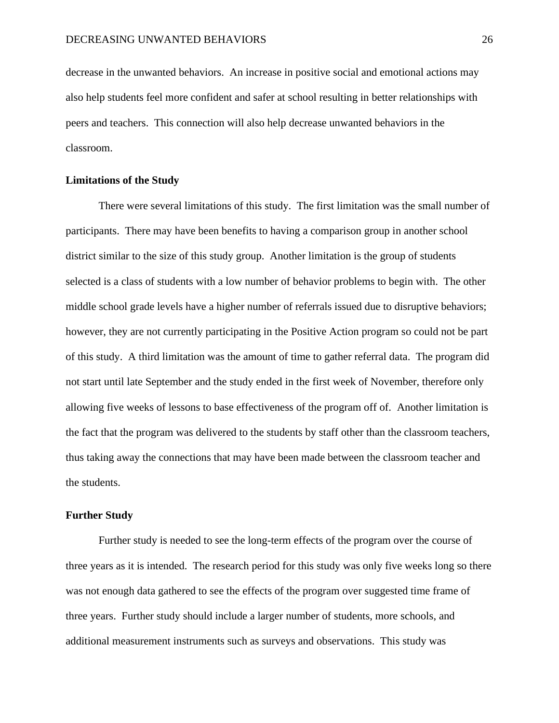decrease in the unwanted behaviors. An increase in positive social and emotional actions may also help students feel more confident and safer at school resulting in better relationships with peers and teachers. This connection will also help decrease unwanted behaviors in the classroom.

# <span id="page-26-0"></span>**Limitations of the Study**

There were several limitations of this study. The first limitation was the small number of participants. There may have been benefits to having a comparison group in another school district similar to the size of this study group. Another limitation is the group of students selected is a class of students with a low number of behavior problems to begin with. The other middle school grade levels have a higher number of referrals issued due to disruptive behaviors; however, they are not currently participating in the Positive Action program so could not be part of this study. A third limitation was the amount of time to gather referral data. The program did not start until late September and the study ended in the first week of November, therefore only allowing five weeks of lessons to base effectiveness of the program off of. Another limitation is the fact that the program was delivered to the students by staff other than the classroom teachers, thus taking away the connections that may have been made between the classroom teacher and the students.

#### <span id="page-26-1"></span>**Further Study**

Further study is needed to see the long-term effects of the program over the course of three years as it is intended. The research period for this study was only five weeks long so there was not enough data gathered to see the effects of the program over suggested time frame of three years. Further study should include a larger number of students, more schools, and additional measurement instruments such as surveys and observations. This study was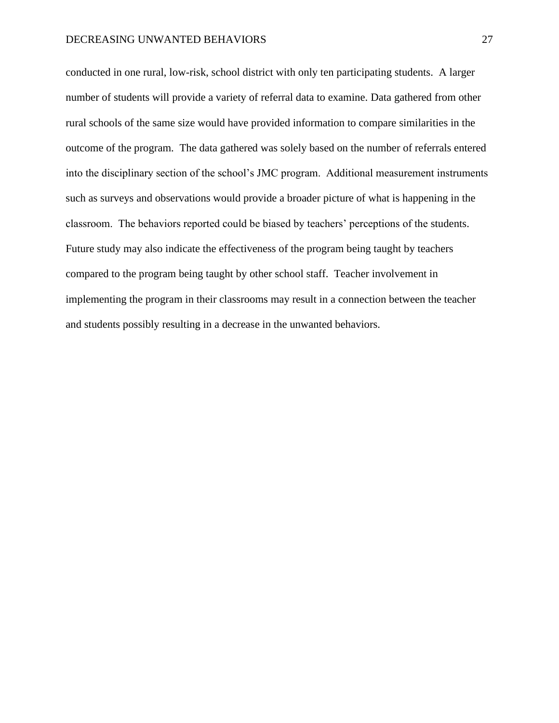conducted in one rural, low-risk, school district with only ten participating students. A larger number of students will provide a variety of referral data to examine. Data gathered from other rural schools of the same size would have provided information to compare similarities in the outcome of the program. The data gathered was solely based on the number of referrals entered into the disciplinary section of the school's JMC program. Additional measurement instruments such as surveys and observations would provide a broader picture of what is happening in the classroom. The behaviors reported could be biased by teachers' perceptions of the students. Future study may also indicate the effectiveness of the program being taught by teachers compared to the program being taught by other school staff. Teacher involvement in implementing the program in their classrooms may result in a connection between the teacher and students possibly resulting in a decrease in the unwanted behaviors.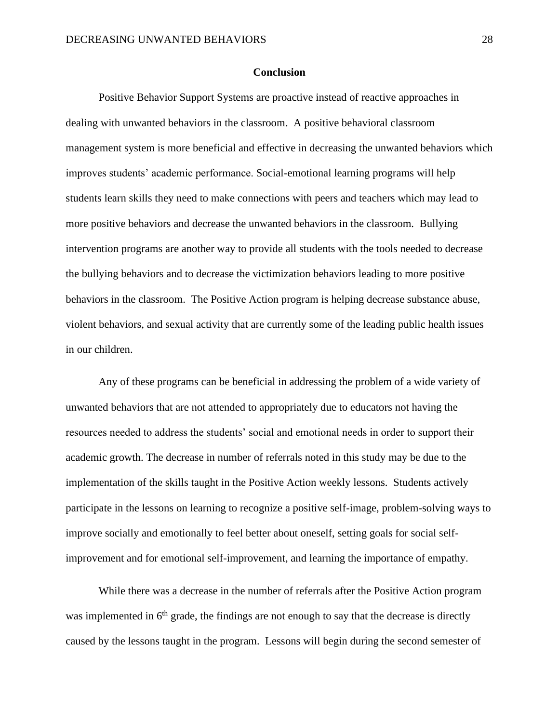#### **Conclusion**

<span id="page-28-0"></span>Positive Behavior Support Systems are proactive instead of reactive approaches in dealing with unwanted behaviors in the classroom. A positive behavioral classroom management system is more beneficial and effective in decreasing the unwanted behaviors which improves students' academic performance. Social-emotional learning programs will help students learn skills they need to make connections with peers and teachers which may lead to more positive behaviors and decrease the unwanted behaviors in the classroom. Bullying intervention programs are another way to provide all students with the tools needed to decrease the bullying behaviors and to decrease the victimization behaviors leading to more positive behaviors in the classroom. The Positive Action program is helping decrease substance abuse, violent behaviors, and sexual activity that are currently some of the leading public health issues in our children.

Any of these programs can be beneficial in addressing the problem of a wide variety of unwanted behaviors that are not attended to appropriately due to educators not having the resources needed to address the students' social and emotional needs in order to support their academic growth. The decrease in number of referrals noted in this study may be due to the implementation of the skills taught in the Positive Action weekly lessons. Students actively participate in the lessons on learning to recognize a positive self-image, problem-solving ways to improve socially and emotionally to feel better about oneself, setting goals for social selfimprovement and for emotional self-improvement, and learning the importance of empathy.

While there was a decrease in the number of referrals after the Positive Action program was implemented in  $6<sup>th</sup>$  grade, the findings are not enough to say that the decrease is directly caused by the lessons taught in the program. Lessons will begin during the second semester of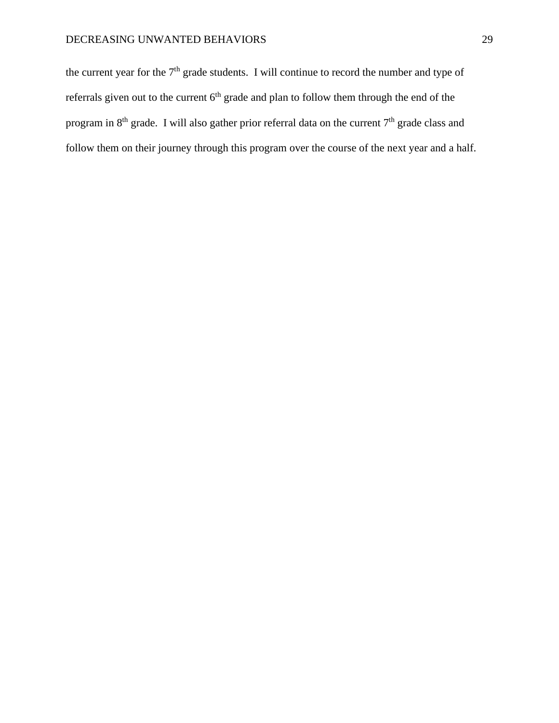the current year for the  $7<sup>th</sup>$  grade students. I will continue to record the number and type of referrals given out to the current  $6<sup>th</sup>$  grade and plan to follow them through the end of the program in  $8<sup>th</sup>$  grade. I will also gather prior referral data on the current  $7<sup>th</sup>$  grade class and follow them on their journey through this program over the course of the next year and a half.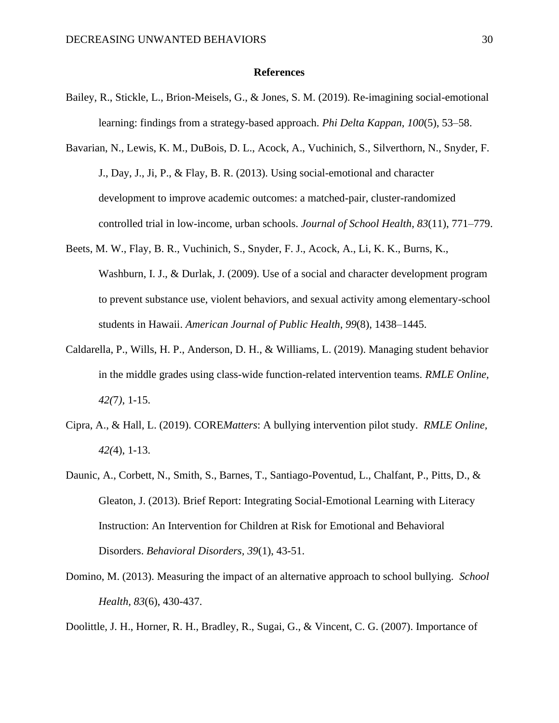### **References**

- <span id="page-30-0"></span>Bailey, R., Stickle, L., Brion-Meisels, G., & Jones, S. M. (2019). Re-imagining social-emotional learning: findings from a strategy-based approach. *Phi Delta Kappan*, *100*(5), 53–58.
- Bavarian, N., Lewis, K. M., DuBois, D. L., Acock, A., Vuchinich, S., Silverthorn, N., Snyder, F. J., Day, J., Ji, P., & Flay, B. R. (2013). Using social-emotional and character development to improve academic outcomes: a matched-pair, cluster-randomized controlled trial in low-income, urban schools. *Journal of School Health*, *83*(11), 771–779.
- Beets, M. W., Flay, B. R., Vuchinich, S., Snyder, F. J., Acock, A., Li, K. K., Burns, K., Washburn, I. J., & Durlak, J. (2009). Use of a social and character development program to prevent substance use, violent behaviors, and sexual activity among elementary-school students in Hawaii. *American Journal of Public Health*, *99*(8), 1438–1445.
- Caldarella, P., Wills, H. P., Anderson, D. H., & Williams, L. (2019). Managing student behavior in the middle grades using class-wide function-related intervention teams. *RMLE Online, 42(*7*)*, 1-15.
- Cipra, A., & Hall, L. (2019). CORE*Matters*: A bullying intervention pilot study. *RMLE Online, 42(*4), 1-13.
- Daunic, A., Corbett, N., Smith, S., Barnes, T., Santiago-Poventud, L., Chalfant, P., Pitts, D., & Gleaton, J. (2013). Brief Report: Integrating Social-Emotional Learning with Literacy Instruction: An Intervention for Children at Risk for Emotional and Behavioral Disorders. *Behavioral Disorders, 39*(1), 43-51.
- Domino, M. (2013). Measuring the impact of an alternative approach to school bullying. *School Health, 83*(6), 430-437.

Doolittle, J. H., Horner, R. H., Bradley, R., Sugai, G., & Vincent, C. G. (2007). Importance of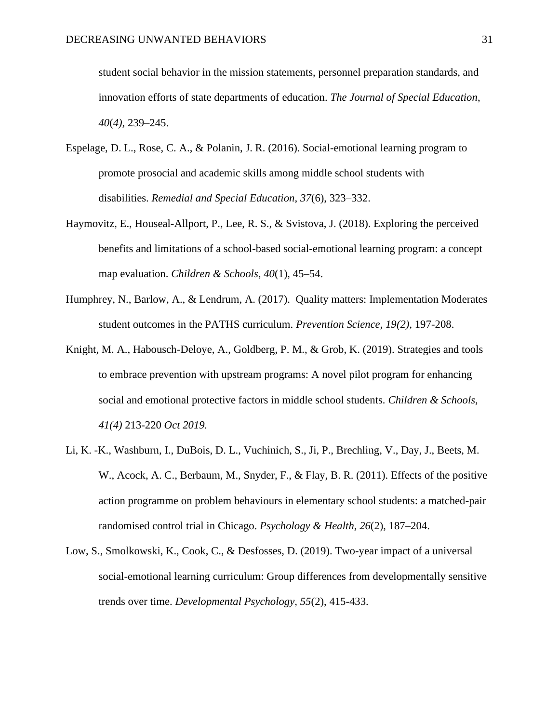student social behavior in the mission statements, personnel preparation standards, and innovation efforts of state departments of education. *The Journal of Special Education*, *40*(*4),* 239–245.

- Espelage, D. L., Rose, C. A., & Polanin, J. R. (2016). Social-emotional learning program to promote prosocial and academic skills among middle school students with disabilities. *Remedial and Special Education*, *37*(6), 323–332.
- Haymovitz, E., Houseal-Allport, P., Lee, R. S., & Svistova, J. (2018). Exploring the perceived benefits and limitations of a school-based social-emotional learning program: a concept map evaluation. *Children & Schools*, *40*(1), 45–54.
- Humphrey, N., Barlow, A., & Lendrum, A. (2017). Quality matters: Implementation Moderates student outcomes in the PATHS curriculum. *Prevention Science, 19(2),* 197-208.
- Knight, M. A., Habousch-Deloye, A., Goldberg, P. M., & Grob, K. (2019). Strategies and tools to embrace prevention with upstream programs: A novel pilot program for enhancing social and emotional protective factors in middle school students. *Children & Schools, 41(4)* 213-220 *Oct 2019.*
- Li, K. -K., Washburn, I., DuBois, D. L., Vuchinich, S., Ji, P., Brechling, V., Day, J., Beets, M. W., Acock, A. C., Berbaum, M., Snyder, F., & Flay, B. R. (2011). Effects of the positive action programme on problem behaviours in elementary school students: a matched-pair randomised control trial in Chicago. *Psychology & Health*, *26*(2), 187–204.
- Low, S., Smolkowski, K., Cook, C., & Desfosses, D. (2019). Two-year impact of a universal social-emotional learning curriculum: Group differences from developmentally sensitive trends over time. *Developmental Psychology, 55*(2), 415-433.